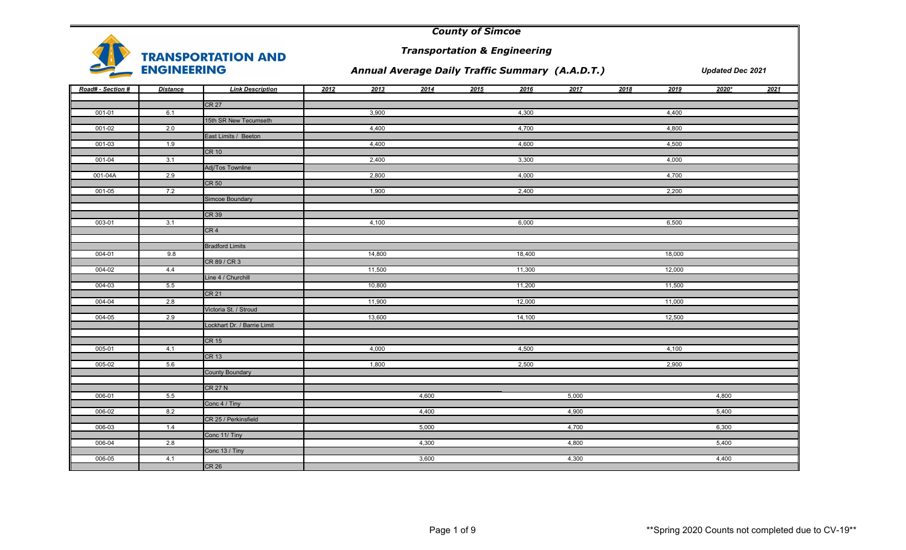

*Transportation & Engineering*

## *Annual Average Daily Traffic Summary (A.A.D.T.)*

| Road# - Section # | <b>Distance</b> | <b>Link Description</b>     | 2012 | 2013<br>2014 | 2015 | 2016<br>2017 | 2018 | 2019   | $2020*$ | 2021 |
|-------------------|-----------------|-----------------------------|------|--------------|------|--------------|------|--------|---------|------|
|                   |                 | CR <sub>27</sub>            |      |              |      |              |      |        |         |      |
| 001-01            | 6.1             |                             |      | 3,900        |      | 4,300        |      | 4,400  |         |      |
|                   |                 | 15th SR New Tecumseth       |      |              |      |              |      |        |         |      |
| $001 - 02$        | 2.0             |                             |      | 4,400        |      | 4,700        |      | 4,800  |         |      |
|                   |                 | East Limits / Beeton        |      |              |      |              |      |        |         |      |
| $001 - 03$        | 1.9             |                             |      | 4,400        |      | 4,600        |      | 4,500  |         |      |
|                   |                 | <b>CR 10</b>                |      |              |      |              |      |        |         |      |
| 001-04            | 3.1             |                             |      | 2,400        |      | 3,300        |      | 4,000  |         |      |
|                   |                 | Adj/Tos Townline            |      |              |      |              |      |        |         |      |
| 001-04A           | 2.9             |                             |      | 2,800        |      | 4,000        |      | 4,700  |         |      |
|                   |                 | <b>CR 50</b>                |      |              |      |              |      |        |         |      |
| 001-05            | 7.2             |                             |      | 1,900        |      | 2,400        |      | 2,200  |         |      |
|                   |                 | Simcoe Boundary             |      |              |      |              |      |        |         |      |
|                   |                 | CR 39                       |      |              |      |              |      |        |         |      |
| 003-01            | 3.1             |                             |      | 4,100        |      | 6,000        |      | 6,500  |         |      |
|                   |                 | CR <sub>4</sub>             |      |              |      |              |      |        |         |      |
|                   |                 |                             |      |              |      |              |      |        |         |      |
|                   |                 | <b>Bradford Limits</b>      |      |              |      |              |      |        |         |      |
| 004-01            | 9.8             |                             |      | 14,800       |      | 18,400       |      | 18,000 |         |      |
|                   |                 | CR 89 / CR 3                |      |              |      |              |      |        |         |      |
| 004-02            | 4.4             |                             |      | 11,500       |      | 11,300       |      | 12,000 |         |      |
|                   |                 | Line 4 / Churchill          |      |              |      |              |      |        |         |      |
| 004-03            | 5.5             |                             |      | 10,800       |      | 11,200       |      | 11,500 |         |      |
|                   |                 | <b>CR 21</b>                |      |              |      |              |      |        |         |      |
| 004-04            | 2.8             |                             |      | 11,900       |      | 12,000       |      | 11,000 |         |      |
|                   |                 | Victoria St. / Stroud       |      |              |      |              |      |        |         |      |
| 004-05            | 2.9             |                             |      | 13,600       |      | 14,100       |      | 12,500 |         |      |
|                   |                 | Lockhart Dr. / Barrie Limit |      |              |      |              |      |        |         |      |
|                   |                 |                             |      |              |      |              |      |        |         |      |
|                   |                 | <b>CR 15</b>                |      |              |      |              |      |        |         |      |
| 005-01            | 4.1             |                             |      | 4,000        |      | 4,500        |      | 4,100  |         |      |
|                   |                 | <b>CR 13</b>                |      |              |      |              |      |        |         |      |
| 005-02            | 5.6             |                             |      | 1,800        |      | 2,500        |      | 2,900  |         |      |
|                   |                 | <b>County Boundary</b>      |      |              |      |              |      |        |         |      |
|                   |                 | <b>CR 27 N</b>              |      |              |      |              |      |        |         |      |
| 006-01            | 5.5             |                             |      | 4,600        |      | 5,000        |      |        | 4,800   |      |
|                   |                 | Conc 4 / Tiny               |      |              |      |              |      |        |         |      |
| 006-02            | 8.2             |                             |      | 4,400        |      | 4,900        |      |        | 5,400   |      |
|                   |                 | CR 25 / Perkinsfield        |      |              |      |              |      |        |         |      |
| 006-03            | 1.4             |                             |      | 5,000        |      | 4,700        |      |        | 6,300   |      |
|                   |                 | Conc 11/ Tiny               |      |              |      |              |      |        |         |      |
| 006-04            | 2.8             |                             |      | 4,300        |      | 4,800        |      |        | 5,400   |      |
|                   |                 | Conc 13 / Tiny              |      |              |      |              |      |        |         |      |
| 006-05            | 4.1             |                             |      | 3,600        |      | 4,300        |      |        | 4,400   |      |
|                   |                 | CR <sub>26</sub>            |      |              |      |              |      |        |         |      |

|                | <b>Updated Dec 2021</b> |      |
|----------------|-------------------------|------|
| 9              | 2020*                   | 2021 |
|                |                         |      |
| $\overline{0}$ |                         |      |
| $\overline{0}$ |                         |      |
| $\overline{0}$ |                         |      |
| $\overline{0}$ |                         |      |
| $\overline{0}$ |                         |      |
| $\overline{0}$ |                         |      |
|                |                         |      |
|                |                         |      |
| $\overline{0}$ |                         |      |
|                |                         |      |
| $\overline{0}$ |                         |      |
| $\overline{0}$ |                         |      |
| $\overline{0}$ |                         |      |
|                |                         |      |
| $\overline{0}$ |                         |      |
| $\overline{0}$ |                         |      |
|                |                         |      |
| $\overline{0}$ |                         |      |
| $\overline{0}$ |                         |      |
|                |                         |      |
|                |                         |      |
|                | 4,800                   |      |
|                | 5,400                   |      |
|                | 6,300                   |      |
|                | 5,400                   |      |
|                | 4,400                   |      |
|                |                         |      |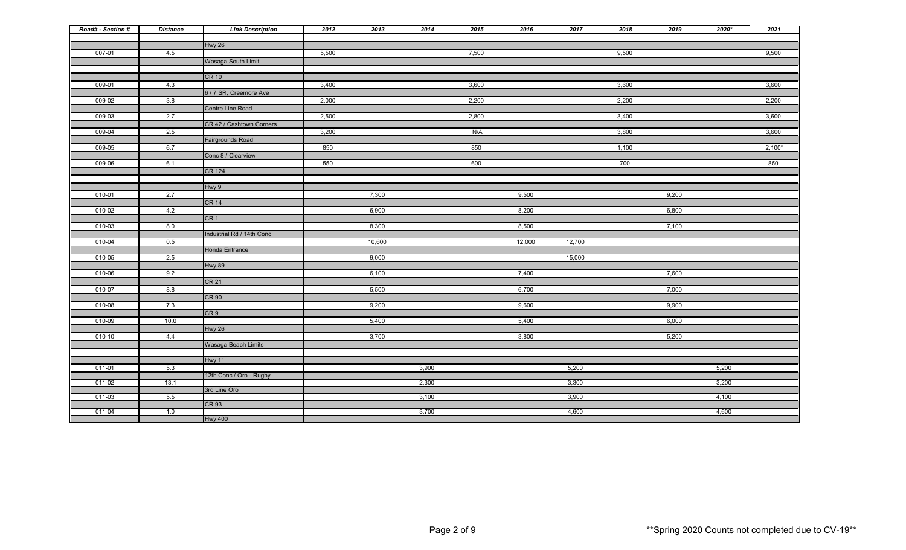| Road# - Section # | <b>Distance</b> | <b>Link Description</b>   | 2012  | 2013   | 2014  | 2015  | 2016   | 2017   | 2018  | 2019  | $2020*$ | 2021     |
|-------------------|-----------------|---------------------------|-------|--------|-------|-------|--------|--------|-------|-------|---------|----------|
|                   |                 | Hwy 26                    |       |        |       |       |        |        |       |       |         |          |
| 007-01            | 4.5             |                           | 5,500 |        |       | 7,500 |        |        | 9,500 |       |         | 9,500    |
|                   |                 | Wasaga South Limit        |       |        |       |       |        |        |       |       |         |          |
|                   |                 |                           |       |        |       |       |        |        |       |       |         |          |
|                   |                 | CR 10                     |       |        |       |       |        |        |       |       |         |          |
| 009-01            | 4.3             |                           | 3,400 |        |       | 3,600 |        |        | 3,600 |       |         | 3,600    |
|                   |                 | 6 / 7 SR, Creemore Ave    |       |        |       |       |        |        |       |       |         |          |
| 009-02            | 3.8             |                           | 2,000 |        |       | 2,200 |        |        | 2,200 |       |         | 2,200    |
|                   |                 | Centre Line Road          |       |        |       |       |        |        |       |       |         |          |
| 009-03            | 2.7             |                           | 2,500 |        |       | 2,800 |        |        | 3,400 |       |         | 3,600    |
|                   |                 | CR 42 / Cashtown Corners  |       |        |       |       |        |        |       |       |         |          |
| 009-04            | 2.5             |                           | 3,200 |        |       | N/A   |        |        | 3,800 |       |         | 3,600    |
|                   |                 | <b>Fairgrounds Road</b>   |       |        |       |       |        |        |       |       |         |          |
| 009-05            | 6.7             | Conc 8 / Clearview        | 850   |        |       | 850   |        |        | 1,100 |       |         | $2,100*$ |
| 009-06            | 6.1             |                           | 550   |        |       | 600   |        |        | 700   |       |         | 850      |
|                   |                 | <b>CR 124</b>             |       |        |       |       |        |        |       |       |         |          |
|                   |                 |                           |       |        |       |       |        |        |       |       |         |          |
|                   |                 | Hwy 9                     |       |        |       |       |        |        |       |       |         |          |
| 010-01            | 2.7             |                           |       | 7,300  |       |       | 9,500  |        |       | 9,200 |         |          |
|                   |                 | <b>CR 14</b>              |       |        |       |       |        |        |       |       |         |          |
| 010-02            | 4.2             |                           |       | 6,900  |       |       | 8,200  |        |       | 6,800 |         |          |
|                   |                 | CR <sub>1</sub>           |       |        |       |       |        |        |       |       |         |          |
| 010-03            | 8.0             |                           |       | 8,300  |       |       | 8,500  |        |       | 7,100 |         |          |
|                   |                 | Industrial Rd / 14th Conc |       |        |       |       |        |        |       |       |         |          |
| 010-04            | 0.5             |                           |       | 10,600 |       |       | 12,000 | 12,700 |       |       |         |          |
| 010-05            | 2.5             | Honda Entrance            |       | 9,000  |       |       |        | 15,000 |       |       |         |          |
|                   |                 | <b>Hwy 89</b>             |       |        |       |       |        |        |       |       |         |          |
| 010-06            | 9.2             |                           |       | 6,100  |       |       | 7,400  |        |       | 7,600 |         |          |
|                   |                 | CR <sub>21</sub>          |       |        |       |       |        |        |       |       |         |          |
| 010-07            | 8.8             |                           |       | 5,500  |       |       | 6,700  |        |       | 7,000 |         |          |
|                   |                 | <b>CR 90</b>              |       |        |       |       |        |        |       |       |         |          |
| 010-08            | 7.3             |                           |       | 9,200  |       |       | 9,600  |        |       | 9,900 |         |          |
|                   |                 | CR <sub>9</sub>           |       |        |       |       |        |        |       |       |         |          |
| 010-09            | 10.0            |                           |       | 5,400  |       |       | 5,400  |        |       | 6,000 |         |          |
|                   |                 | <b>Hwy 26</b>             |       |        |       |       |        |        |       |       |         |          |
| 010-10            | 4.4             |                           |       | 3,700  |       |       | 3,800  |        |       | 5,200 |         |          |
|                   |                 | Wasaga Beach Limits       |       |        |       |       |        |        |       |       |         |          |
|                   |                 | Hwy 11                    |       |        |       |       |        |        |       |       |         |          |
| 011-01            | 5.3             |                           |       |        | 3,900 |       |        | 5,200  |       |       | 5,200   |          |
|                   |                 | 12th Conc / Oro - Rugby   |       |        |       |       |        |        |       |       |         |          |
| 011-02            | 13.1            |                           |       |        | 2,300 |       |        | 3,300  |       |       | 3,200   |          |
|                   |                 | 3rd Line Oro              |       |        |       |       |        |        |       |       |         |          |
| 011-03            | 5.5             |                           |       |        | 3,100 |       |        | 3,900  |       |       | 4,100   |          |
| 011-04            | 1.0             | CR <sub>93</sub>          |       |        | 3,700 |       |        | 4,600  |       |       | 4,600   |          |
|                   |                 | <b>Hwy 400</b>            |       |        |       |       |        |        |       |       |         |          |
|                   |                 |                           |       |        |       |       |        |        |       |       |         |          |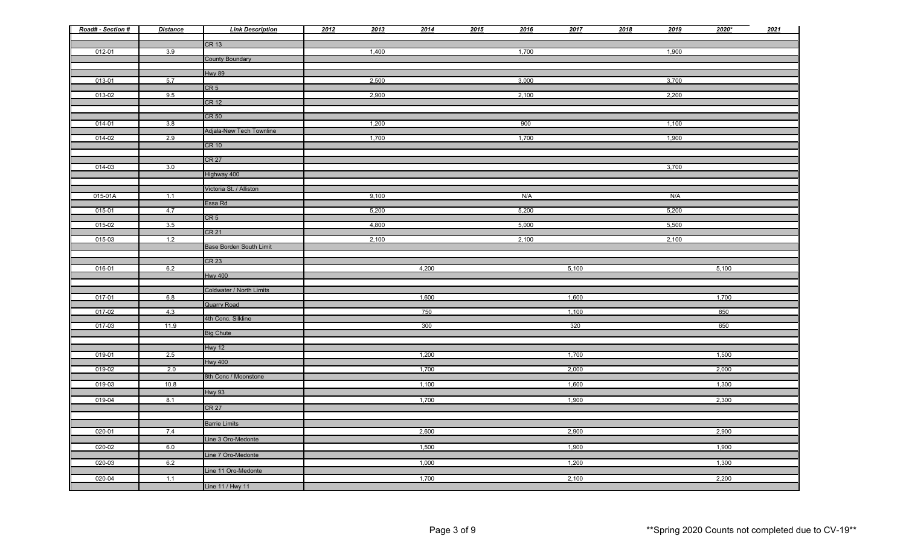| Road# - Section # | <b>Distance</b> | <b>Link Description</b>        | 2012 | 2013  | 2014  | 2015 | 2016  | 2017  | 2018 | 2019  | $2020*$ | 2021 |
|-------------------|-----------------|--------------------------------|------|-------|-------|------|-------|-------|------|-------|---------|------|
|                   |                 | CR 13                          |      |       |       |      |       |       |      |       |         |      |
| 012-01            | 3.9             | <b>County Boundary</b>         |      | 1,400 |       |      | 1,700 |       |      | 1,900 |         |      |
|                   |                 |                                |      |       |       |      |       |       |      |       |         |      |
| 013-01            | 5.7             | <b>Hwy 89</b>                  |      | 2,500 |       |      | 3,000 |       |      | 3,700 |         |      |
| 013-02            | 9.5             | CR <sub>5</sub>                |      | 2,900 |       |      | 2,100 |       |      | 2,200 |         |      |
|                   |                 | CR <sub>12</sub>               |      |       |       |      |       |       |      |       |         |      |
|                   |                 | CR 50                          |      |       |       |      |       |       |      |       |         |      |
| 014-01            | 3.8             |                                |      | 1,200 |       |      | 900   |       |      | 1,100 |         |      |
| 014-02            | 2.9             | Adjala-New Tech Townline       |      | 1,700 |       |      | 1,700 |       |      | 1,900 |         |      |
|                   |                 | CR 10                          |      |       |       |      |       |       |      |       |         |      |
|                   |                 | CR <sub>27</sub>               |      |       |       |      |       |       |      |       |         |      |
| 014-03            | 3.0             | Highway 400                    |      |       |       |      |       |       |      | 3,700 |         |      |
|                   |                 |                                |      |       |       |      |       |       |      |       |         |      |
| 015-01A           | 1.1             | Victoria St. / Alliston        |      | 9,100 |       |      | N/A   |       |      | N/A   |         |      |
| 015-01            | 4.7             | Essa Rd                        |      | 5,200 |       |      | 5,200 |       |      | 5,200 |         |      |
|                   |                 | CR <sub>5</sub>                |      |       |       |      |       |       |      |       |         |      |
| $015 - 02$        | 3.5             | CR <sub>21</sub>               |      | 4,800 |       |      | 5,000 |       |      | 5,500 |         |      |
| 015-03            | 1.2             | <b>Base Borden South Limit</b> |      | 2,100 |       |      | 2,100 |       |      | 2,100 |         |      |
|                   |                 |                                |      |       |       |      |       |       |      |       |         |      |
| 016-01            | 6.2             | CR <sub>23</sub>               |      |       | 4,200 |      |       | 5,100 |      |       | 5,100   |      |
|                   |                 | <b>Hwy 400</b>                 |      |       |       |      |       |       |      |       |         |      |
|                   |                 | Coldwater / North Limits       |      |       |       |      |       |       |      |       |         |      |
| 017-01            | 6.8             | <b>Quarry Road</b>             |      |       | 1,600 |      |       | 1,600 |      |       | 1,700   |      |
| 017-02            | 4.3             |                                |      |       | 750   |      |       | 1,100 |      |       | 850     |      |
| 017-03            | 11.9            | 4th Conc. Silkline             |      |       | 300   |      |       | 320   |      |       | 650     |      |
|                   |                 | <b>Big Chute</b>               |      |       |       |      |       |       |      |       |         |      |
|                   |                 | Hwy 12                         |      |       |       |      |       |       |      |       |         |      |
| 019-01            | 2.5             | <b>Hwy 400</b>                 |      |       | 1,200 |      |       | 1,700 |      |       | 1,500   |      |
| 019-02            | 2.0             |                                |      |       | 1,700 |      |       | 2,000 |      |       | 2,000   |      |
| 019-03            | 10.8            | 8th Conc / Moonstone           |      |       | 1,100 |      |       | 1,600 |      |       | 1,300   |      |
|                   |                 | Hwy 93                         |      |       |       |      |       |       |      |       |         |      |
| 019-04            | 8.1             | CR <sub>27</sub>               |      |       | 1,700 |      |       | 1,900 |      |       | 2,300   |      |
|                   |                 |                                |      |       |       |      |       |       |      |       |         |      |
| 020-01            | 7.4             | <b>Barrie Limits</b>           |      |       | 2,600 |      |       | 2,900 |      |       | 2,900   |      |
|                   |                 | Line 3 Oro-Medonte             |      |       |       |      |       |       |      |       |         |      |
| 020-02            | 6.0             | Line 7 Oro-Medonte             |      |       | 1,500 |      |       | 1,900 |      |       | 1,900   |      |
| 020-03            | 6.2             |                                |      |       | 1,000 |      |       | 1,200 |      |       | 1,300   |      |
| 020-04            | 1.1             | Line 11 Oro-Medonte            |      |       | 1,700 |      |       | 2,100 |      |       | 2,200   |      |
|                   |                 | Line 11 / Hwy 11               |      |       |       |      |       |       |      |       |         |      |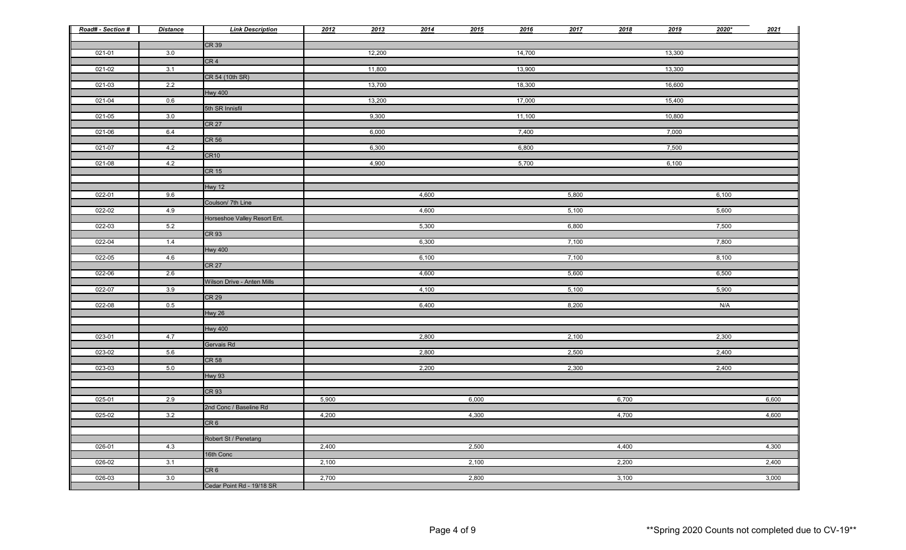| Road# - Section # | <b>Distance</b> | <b>Link Description</b>      | 2012  | 2013   | 2014  | 2015  | 2016   | 2017  | 2018  | 2019   | $2020*$ | 2021  |
|-------------------|-----------------|------------------------------|-------|--------|-------|-------|--------|-------|-------|--------|---------|-------|
|                   |                 | CR39                         |       |        |       |       |        |       |       |        |         |       |
| 021-01            | 3.0             |                              |       | 12,200 |       |       | 14,700 |       |       | 13,300 |         |       |
| 021-02            | 3.1             | CR <sub>4</sub>              |       | 11,800 |       |       | 13,900 |       |       | 13,300 |         |       |
|                   |                 | CR 54 (10th SR)              |       |        |       |       |        |       |       |        |         |       |
| 021-03            | 2.2             | <b>Hwy 400</b>               |       | 13,700 |       |       | 18,300 |       |       | 16,600 |         |       |
| 021-04            | 0.6             |                              |       | 13,200 |       |       | 17,000 |       |       | 15,400 |         |       |
|                   |                 | 5th SR Innisfil              |       |        |       |       |        |       |       |        |         |       |
| 021-05            | 3.0             | <b>CR 27</b>                 |       | 9,300  |       |       | 11,100 |       |       | 10,800 |         |       |
| 021-06            | 6.4             |                              |       | 6,000  |       |       | 7,400  |       |       | 7,000  |         |       |
| 021-07            | 4.2             | <b>CR 56</b>                 |       | 6,300  |       |       | 6,800  |       |       | 7,500  |         |       |
|                   |                 | <b>CR10</b>                  |       |        |       |       |        |       |       |        |         |       |
| 021-08            | 4.2             |                              |       | 4,900  |       |       | 5,700  |       |       | 6,100  |         |       |
|                   |                 | <b>CR 15</b>                 |       |        |       |       |        |       |       |        |         |       |
|                   |                 | <b>Hwy 12</b>                |       |        |       |       |        |       |       |        |         |       |
| $022 - 01$        | 9.6             |                              |       |        | 4,600 |       |        | 5,800 |       |        | 6,100   |       |
| 022-02            | 4.9             | Coulson/ 7th Line            |       |        | 4,600 |       |        | 5,100 |       |        | 5,600   |       |
|                   |                 | Horseshoe Valley Resort Ent. |       |        |       |       |        |       |       |        |         |       |
| 022-03            | 5.2             | <b>CR 93</b>                 |       |        | 5,300 |       |        | 6,800 |       |        | 7,500   |       |
| 022-04            | 1.4             |                              |       |        | 6,300 |       |        | 7,100 |       |        | 7,800   |       |
|                   |                 | <b>Hwy 400</b>               |       |        |       |       |        |       |       |        |         |       |
| 022-05            | 4.6             | <b>CR 27</b>                 |       |        | 6,100 |       |        | 7,100 |       |        | 8,100   |       |
| 022-06            | 2.6             |                              |       |        | 4,600 |       |        | 5,600 |       |        | 6,500   |       |
| 022-07            | 3.9             | Wilson Drive - Anten Mills   |       |        | 4,100 |       |        | 5,100 |       |        | 5,900   |       |
|                   |                 | <b>CR 29</b>                 |       |        |       |       |        |       |       |        |         |       |
| $022 - 08$        | 0.5             |                              |       |        | 6,400 |       |        | 8,200 |       |        | N/A     |       |
|                   |                 | Hwy 26                       |       |        |       |       |        |       |       |        |         |       |
|                   |                 | <b>Hwy 400</b>               |       |        |       |       |        |       |       |        |         |       |
| 023-01            | 4.7             | Gervais Rd                   |       |        | 2,800 |       |        | 2,100 |       |        | 2,300   |       |
| 023-02            | 5.6             |                              |       |        | 2,800 |       |        | 2,500 |       |        | 2,400   |       |
|                   |                 | CR <sub>58</sub>             |       |        |       |       |        |       |       |        |         |       |
| 023-03            | 5.0             | Hwy 93                       |       |        | 2,200 |       |        | 2,300 |       |        | 2,400   |       |
|                   |                 |                              |       |        |       |       |        |       |       |        |         |       |
| $025 - 01$        | 2.9             | <b>CR 93</b>                 | 5,900 |        |       | 6,000 |        |       | 6,700 |        |         | 6,600 |
|                   |                 | 2nd Conc / Baseline Rd       |       |        |       |       |        |       |       |        |         |       |
| $025 - 02$        | 3.2             |                              | 4,200 |        |       | 4,300 |        |       | 4,700 |        |         | 4,600 |
|                   |                 | CR <sub>6</sub>              |       |        |       |       |        |       |       |        |         |       |
|                   |                 | Robert St / Penetang         |       |        |       |       |        |       |       |        |         |       |
| 026-01            | 4.3             |                              | 2,400 |        |       | 2,500 |        |       | 4,400 |        |         | 4,300 |
| 026-02            | 3.1             | 16th Conc                    | 2,100 |        |       | 2,100 |        |       | 2,200 |        |         | 2,400 |
|                   |                 | CR6                          |       |        |       |       |        |       |       |        |         |       |
| 026-03            | 3.0             | Cedar Point Rd - 19/18 SR    | 2,700 |        |       | 2,800 |        |       | 3,100 |        |         | 3,000 |
|                   |                 |                              |       |        |       |       |        |       |       |        |         |       |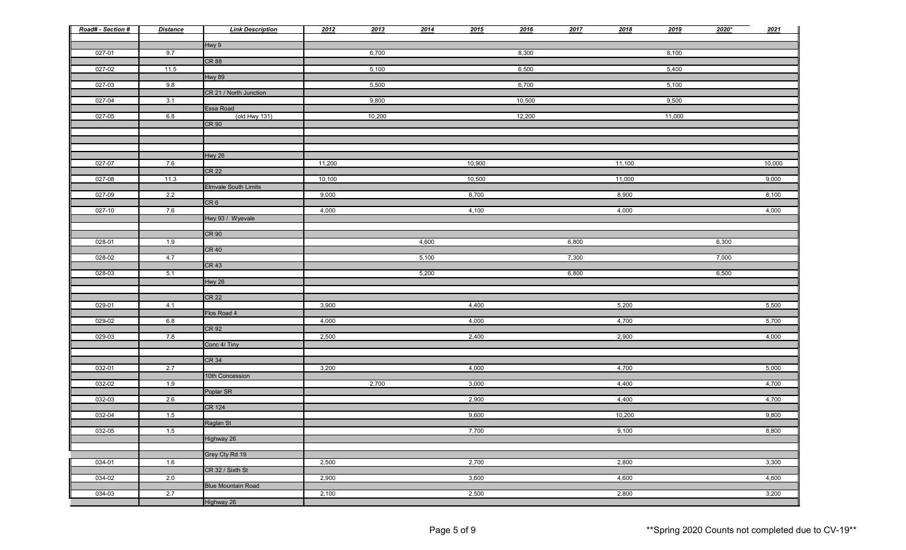| Road# - Section # | <b>Distance</b> | <b>Link Description</b>          | 2012   | 2013   | 2014  | 2015   | 2016   | 2017  | 2018   | 2019   | $2020*$ | 2021   |
|-------------------|-----------------|----------------------------------|--------|--------|-------|--------|--------|-------|--------|--------|---------|--------|
|                   |                 | Hwy 9                            |        |        |       |        |        |       |        |        |         |        |
| 027-01            | 9.7             | <b>CR 88</b>                     |        | 6,700  |       |        | 8,300  |       |        | 8,100  |         |        |
| 027-02            | 11.5            |                                  |        | 5,100  |       |        | 6,500  |       |        | 5,400  |         |        |
|                   |                 | <b>Hwy 89</b>                    |        |        |       |        |        |       |        |        |         |        |
| 027-03            | 9.8             | CR 21 / North Junction           |        | 5,500  |       |        | 6,700  |       |        | 5,100  |         |        |
| 027-04            | 3.1             |                                  |        | 9,800  |       |        | 10,500 |       |        | 9,500  |         |        |
|                   |                 | Essa Road                        |        |        |       |        |        |       |        |        |         |        |
| 027-05            | 6.8             | $($ old Hwy 131)<br><b>CR 90</b> |        | 10,200 |       |        | 12,200 |       |        | 11,000 |         |        |
|                   |                 |                                  |        |        |       |        |        |       |        |        |         |        |
|                   |                 |                                  |        |        |       |        |        |       |        |        |         |        |
|                   |                 | Hwy 26                           |        |        |       |        |        |       |        |        |         |        |
| 027-07            | 7.6             |                                  | 11,200 |        |       | 10,900 |        |       | 11,100 |        |         | 10,000 |
|                   |                 | <b>CR 22</b>                     |        |        |       |        |        |       |        |        |         |        |
| 027-08            | 11.3            | <b>Elmvale South Limits</b>      | 10,100 |        |       | 10,500 |        |       | 11,000 |        |         | 9,000  |
| 027-09            | 2.2             |                                  | 9,000  |        |       | 8,700  |        |       | 8,900  |        |         | 8,100  |
|                   |                 | CR6                              |        |        |       |        |        |       |        |        |         |        |
| 027-10            | 7.6             | Hwy 93 / Wyevale                 | 4,000  |        |       | 4,100  |        |       | 4,000  |        |         | 4,000  |
|                   |                 |                                  |        |        |       |        |        |       |        |        |         |        |
|                   |                 | <b>CR 90</b>                     |        |        |       |        |        |       |        |        |         |        |
| 028-01            | 1.9             | <b>CR 40</b>                     |        |        | 4,600 |        |        | 6,800 |        |        | 6,300   |        |
| 028-02            | 4.7             |                                  |        |        | 5,100 |        |        | 7,300 |        |        | 7,000   |        |
|                   |                 | <b>CR 43</b>                     |        |        |       |        |        |       |        |        |         |        |
| $028-03$          | 5.1             |                                  |        |        | 5,200 |        |        | 6,800 |        |        | 6,500   |        |
|                   |                 | <b>Hwy 26</b>                    |        |        |       |        |        |       |        |        |         |        |
|                   |                 | <b>CR 22</b>                     |        |        |       |        |        |       |        |        |         |        |
| $029 - 01$        | 4.1             | Flos Road 4                      | 3,900  |        |       | 4,400  |        |       | 5,200  |        |         | 5,500  |
| 029-02            | 6.8             |                                  | 4,000  |        |       | 4,000  |        |       | 4,700  |        |         | 5,700  |
|                   |                 | CR 92                            |        |        |       |        |        |       |        |        |         |        |
| 029-03            | 7.8             | Conc 4/ Tiny                     | 2,500  |        |       | 2,400  |        |       | 2,900  |        |         | 4,000  |
|                   |                 |                                  |        |        |       |        |        |       |        |        |         |        |
|                   |                 | CR <sub>34</sub>                 |        |        |       |        |        |       |        |        |         |        |
| 032-01            | 2.7             | 10th Concession                  | 3,200  |        |       | 4,000  |        |       | 4,700  |        |         | 5,000  |
| 032-02            | 1.9             |                                  |        | 2,700  |       | 3,000  |        |       | 4,400  |        |         | 4,700  |
|                   |                 | Poplar SR                        |        |        |       |        |        |       |        |        |         |        |
| 032-03            | 2.6             | <b>CR 124</b>                    |        |        |       | 2,900  |        |       | 4,400  |        |         | 4,700  |
| 032-04            | 1.5             |                                  |        |        |       | 9,600  |        |       | 10,200 |        |         | 9,800  |
|                   |                 | Raglan St                        |        |        |       |        |        |       |        |        |         |        |
| 032-05            | 1.5             | Highway 26                       |        |        |       | 7,700  |        |       | 9,100  |        |         | 8,800  |
|                   |                 |                                  |        |        |       |        |        |       |        |        |         |        |
|                   |                 | Grey Cty Rd 19                   |        |        |       |        |        |       |        |        |         |        |
| 034-01            | 1.6             | CR 32 / Sixth St                 | 2,500  |        |       | 2,700  |        |       | 2,800  |        |         | 3,300  |
| 034-02            | 2.0             |                                  | 2,900  |        |       | 3,600  |        |       | 4,600  |        |         | 4,600  |
|                   |                 | <b>Blue Mountain Road</b>        |        |        |       |        |        |       |        |        |         |        |
| 034-03            | 2.7             |                                  | 2,100  |        |       | 2,500  |        |       | 2,800  |        |         | 3,200  |
|                   |                 | Highway 26                       |        |        |       |        |        |       |        |        |         |        |

| 2021           |
|----------------|
|                |
|                |
|                |
|                |
|                |
|                |
|                |
|                |
|                |
|                |
| 10,000         |
| 9,000          |
|                |
| 8,100          |
| 4,000          |
|                |
|                |
|                |
|                |
|                |
|                |
|                |
|                |
| 5,500          |
|                |
| 5,700          |
| 4,000          |
|                |
| 5,000          |
|                |
| 4,700          |
| 4,700          |
| 9,800          |
|                |
| 8,800          |
|                |
| 3,300          |
|                |
| 4,600<br>3,200 |
|                |

Page 5 of 9  $\bullet$  Page 5 of 9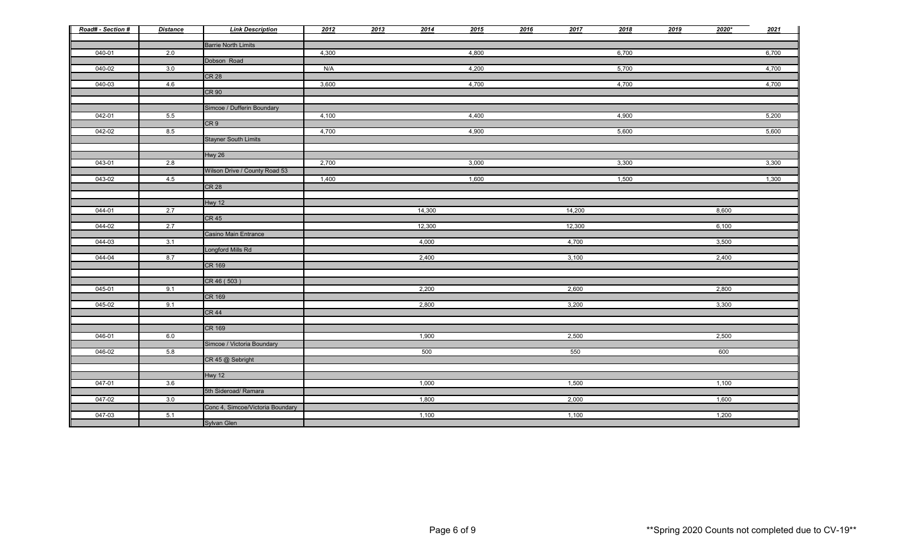| Road# - Section # | <b>Distance</b> | <b>Link Description</b>          | 2012  | 2013 | 2014   | 2015  | 2016 | 2017   | 2018  | 2019 | $2020*$ | 2021  |
|-------------------|-----------------|----------------------------------|-------|------|--------|-------|------|--------|-------|------|---------|-------|
|                   |                 | <b>Barrie North Limits</b>       |       |      |        |       |      |        |       |      |         |       |
| 040-01            | 2.0             |                                  | 4,300 |      |        | 4,800 |      |        | 6,700 |      |         | 6,700 |
|                   |                 | Dobson Road                      |       |      |        |       |      |        |       |      |         |       |
| 040-02            | 3.0             |                                  | N/A   |      |        | 4,200 |      |        | 5,700 |      |         | 4,700 |
|                   |                 | <b>CR 28</b>                     |       |      |        |       |      |        |       |      |         |       |
| 040-03            | 4.6             |                                  | 3,600 |      |        | 4,700 |      |        | 4,700 |      |         | 4,700 |
|                   |                 | <b>CR 90</b>                     |       |      |        |       |      |        |       |      |         |       |
|                   |                 |                                  |       |      |        |       |      |        |       |      |         |       |
|                   |                 | Simcoe / Dufferin Boundary       |       |      |        |       |      |        |       |      |         |       |
| 042-01            | 5.5             |                                  | 4,100 |      |        | 4,400 |      |        | 4,900 |      |         | 5,200 |
|                   |                 | CR <sub>9</sub>                  |       |      |        |       |      |        |       |      |         |       |
| 042-02            | 8.5             |                                  | 4,700 |      |        | 4,900 |      |        | 5,600 |      |         | 5,600 |
|                   |                 | <b>Stayner South Limits</b>      |       |      |        |       |      |        |       |      |         |       |
|                   |                 | Hwy 26                           |       |      |        |       |      |        |       |      |         |       |
| 043-01            | 2.8             |                                  | 2,700 |      |        | 3,000 |      |        | 3,300 |      |         | 3,300 |
|                   |                 | Wilson Drive / County Road 53    |       |      |        |       |      |        |       |      |         |       |
| 043-02            | 4.5             |                                  | 1,400 |      |        | 1,600 |      |        | 1,500 |      |         | 1,300 |
|                   |                 | CR <sub>28</sub>                 |       |      |        |       |      |        |       |      |         |       |
|                   |                 |                                  |       |      |        |       |      |        |       |      |         |       |
|                   |                 | Hwy 12                           |       |      |        |       |      |        |       |      |         |       |
| 044-01            | 2.7             |                                  |       |      | 14,300 |       |      | 14,200 |       |      | 8,600   |       |
|                   |                 | CR <sub>45</sub>                 |       |      |        |       |      |        |       |      |         |       |
| 044-02            | 2.7             |                                  |       |      | 12,300 |       |      | 12,300 |       |      | 6,100   |       |
|                   |                 | Casino Main Entrance             |       |      |        |       |      |        |       |      |         |       |
| 044-03            | 3.1             | Longford Mills Rd                |       |      | 4,000  |       |      | 4,700  |       |      | 3,500   |       |
| 044-04            | 8.7             |                                  |       |      | 2,400  |       |      | 3,100  |       |      | 2,400   |       |
|                   |                 | CR 169                           |       |      |        |       |      |        |       |      |         |       |
|                   |                 |                                  |       |      |        |       |      |        |       |      |         |       |
|                   |                 | CR 46 (503)                      |       |      |        |       |      |        |       |      |         |       |
| 045-01            | 9.1             |                                  |       |      | 2,200  |       |      | 2,600  |       |      | 2,800   |       |
|                   |                 | CR 169                           |       |      |        |       |      |        |       |      |         |       |
| 045-02            | 9.1             |                                  |       |      | 2,800  |       |      | 3,200  |       |      | 3,300   |       |
|                   |                 | CR <sub>44</sub>                 |       |      |        |       |      |        |       |      |         |       |
|                   |                 |                                  |       |      |        |       |      |        |       |      |         |       |
| 046-01            | 6.0             | CR 169                           |       |      | 1,900  |       |      | 2,500  |       |      | 2,500   |       |
|                   |                 | Simcoe / Victoria Boundary       |       |      |        |       |      |        |       |      |         |       |
| 046-02            | 5.8             |                                  |       |      | 500    |       |      | 550    |       |      | 600     |       |
| I                 |                 | CR 45 @ Sebright                 |       |      |        |       |      |        |       |      |         |       |
|                   |                 |                                  |       |      |        |       |      |        |       |      |         |       |
|                   |                 | Hwy 12                           |       |      |        |       |      |        |       |      |         |       |
| 047-01            | 3.6             |                                  |       |      | 1,000  |       |      | 1,500  |       |      | 1,100   |       |
|                   |                 | 5th Sideroad/ Ramara             |       |      |        |       |      |        |       |      |         |       |
| 047-02            | 3.0             |                                  |       |      | 1,800  |       |      | 2,000  |       |      | 1,600   |       |
|                   |                 | Conc 4, Simcoe/Victoria Boundary |       |      |        |       |      |        |       |      |         |       |
| 047-03            | 5.1             |                                  |       |      | 1,100  |       |      | 1,100  |       |      | 1,200   |       |
|                   |                 | Sylvan Glen                      |       |      |        |       |      |        |       |      |         |       |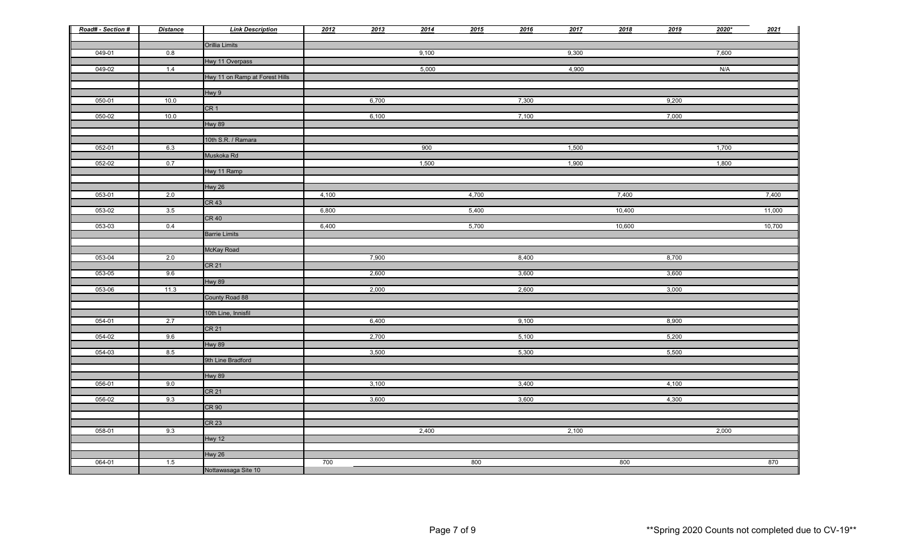| Road# - Section # | <b>Distance</b> | <b>Link Description</b>        | 2012  | 2013  | 2014  | 2015  | 2016  | 2017  | 2018   | 2019  | $2020*$ | 2021   |
|-------------------|-----------------|--------------------------------|-------|-------|-------|-------|-------|-------|--------|-------|---------|--------|
|                   |                 | Orillia Limits                 |       |       |       |       |       |       |        |       |         |        |
| 049-01            | 0.8             |                                |       |       | 9,100 |       |       | 9,300 |        |       | 7,600   |        |
| 049-02            | 1.4             | Hwy 11 Overpass                |       |       | 5,000 |       |       | 4,900 |        |       | N/A     |        |
|                   |                 | Hwy 11 on Ramp at Forest Hills |       |       |       |       |       |       |        |       |         |        |
|                   |                 |                                |       |       |       |       |       |       |        |       |         |        |
| 050-01            | 10.0            | Hwy 9                          |       | 6,700 |       |       | 7,300 |       |        | 9,200 |         |        |
|                   |                 | CR <sub>1</sub>                |       |       |       |       |       |       |        |       |         |        |
| 050-02            | 10.0            |                                |       | 6,100 |       |       | 7,100 |       |        | 7,000 |         |        |
|                   |                 | <b>Hwy 89</b>                  |       |       |       |       |       |       |        |       |         |        |
|                   |                 | 10th S.R. / Ramara             |       |       |       |       |       |       |        |       |         |        |
| 052-01            | 6.3             |                                |       |       | 900   |       |       | 1,500 |        |       | 1,700   |        |
|                   |                 | Muskoka Rd                     |       |       |       |       |       |       |        |       |         |        |
| 052-02            | 0.7             |                                |       |       | 1,500 |       |       | 1,900 |        |       | 1,800   |        |
|                   |                 | Hwy 11 Ramp                    |       |       |       |       |       |       |        |       |         |        |
|                   |                 | Hwy 26                         |       |       |       |       |       |       |        |       |         |        |
| 053-01            | 2.0             |                                | 4,100 |       |       | 4,700 |       |       | 7,400  |       |         | 7,400  |
|                   |                 | <b>CR 43</b>                   |       |       |       |       |       |       |        |       |         |        |
| 053-02            | 3.5             |                                | 6,800 |       |       | 5,400 |       |       | 10,400 |       |         | 11,000 |
|                   |                 | <b>CR 40</b>                   |       |       |       |       |       |       |        |       |         |        |
| 053-03            | 0.4             | <b>Barrie Limits</b>           | 6,400 |       |       | 5,700 |       |       | 10,600 |       |         | 10,700 |
|                   |                 |                                |       |       |       |       |       |       |        |       |         |        |
|                   |                 | McKay Road                     |       |       |       |       |       |       |        |       |         |        |
| 053-04            | 2.0             |                                |       | 7,900 |       |       | 8,400 |       |        | 8,700 |         |        |
|                   |                 | <b>CR 21</b>                   |       | 2,600 |       |       | 3,600 |       |        | 3,600 |         |        |
| 053-05            | 9.6             | <b>Hwy 89</b>                  |       |       |       |       |       |       |        |       |         |        |
| 053-06            | 11.3            |                                |       | 2,000 |       |       | 2,600 |       |        | 3,000 |         |        |
|                   |                 | County Road 88                 |       |       |       |       |       |       |        |       |         |        |
|                   |                 |                                |       |       |       |       |       |       |        |       |         |        |
| 054-01            | 2.7             | 10th Line, Innisfil            |       | 6,400 |       |       | 9,100 |       |        | 8,900 |         |        |
|                   |                 | CR <sub>21</sub>               |       |       |       |       |       |       |        |       |         |        |
| 054-02            | 9.6             |                                |       | 2,700 |       |       | 5,100 |       |        | 5,200 |         |        |
|                   |                 | Hwy 89                         |       |       |       |       |       |       |        |       |         |        |
| 054-03            | 8.5             | 9th Line Bradford              |       | 3,500 |       |       | 5,300 |       |        | 5,500 |         |        |
|                   |                 |                                |       |       |       |       |       |       |        |       |         |        |
|                   |                 | Hwy 89                         |       |       |       |       |       |       |        |       |         |        |
| 056-01            | 9.0             |                                |       | 3,100 |       |       | 3,400 |       |        | 4,100 |         |        |
|                   |                 | CR <sub>21</sub>               |       |       |       |       |       |       |        |       |         |        |
| 056-02            | 9.3             | CR <sub>90</sub>               |       | 3,600 |       |       | 3,600 |       |        | 4,300 |         |        |
|                   |                 |                                |       |       |       |       |       |       |        |       |         |        |
|                   |                 | CR <sub>23</sub>               |       |       |       |       |       |       |        |       |         |        |
| 058-01            | 9.3             |                                |       |       | 2,400 |       |       | 2,100 |        |       | 2,000   |        |
|                   |                 | Hwy 12                         |       |       |       |       |       |       |        |       |         |        |
|                   |                 | Hwy 26                         |       |       |       |       |       |       |        |       |         |        |
| 064-01            | 1.5             |                                | 700   |       |       | 800   |       |       | 800    |       |         | 870    |
|                   |                 | Nottawasaga Site 10            |       |       |       |       |       |       |        |       |         |        |

| 9              | 2020* | 2021   |
|----------------|-------|--------|
|                |       |        |
|                | 7,600 |        |
|                | N/A   |        |
|                |       |        |
|                |       |        |
| $\overline{0}$ |       |        |
| $\overline{0}$ |       |        |
|                |       |        |
|                |       |        |
|                | 1,700 |        |
|                | 1,800 |        |
|                |       |        |
|                |       |        |
|                |       | 7,400  |
|                |       |        |
|                |       | 11,000 |
|                |       | 10,700 |
|                |       |        |
|                |       |        |
| $\overline{0}$ |       |        |
| $\overline{0}$ |       |        |
| $\overline{0}$ |       |        |
|                |       |        |
|                |       |        |
| $\overline{0}$ |       |        |
| $\overline{0}$ |       |        |
|                |       |        |
| $\overline{0}$ |       |        |
|                |       |        |
|                |       |        |
| $\overline{0}$ |       |        |
| $\overline{0}$ |       |        |
|                |       |        |
|                |       |        |
|                | 2,000 |        |
|                |       |        |
|                |       | 870    |
|                |       |        |

Page 7 of 9  $\bullet$  Page 7 of 9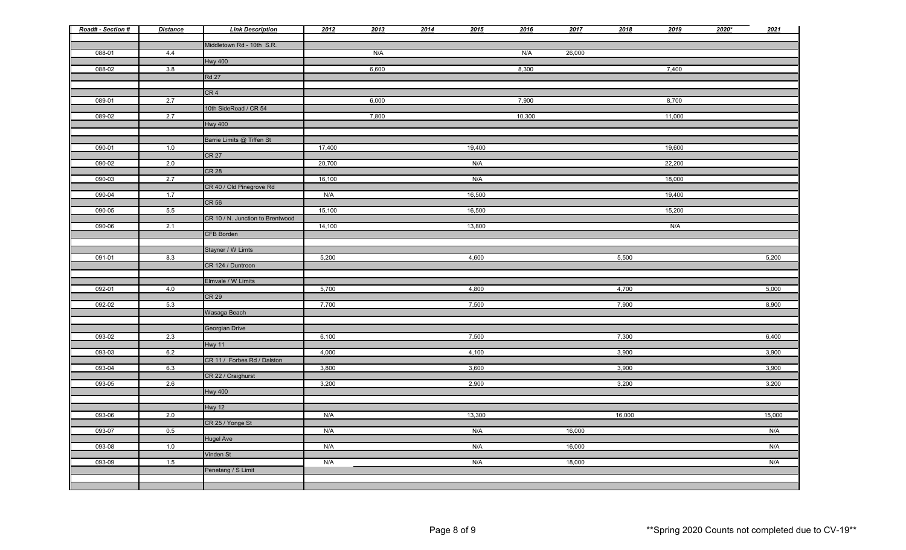| Road# - Section # | <b>Distance</b> | <b>Link Description</b>          | 2012   | 2013  | 2014 | 2015   | 2016   | 2017   | 2018   | 2019   | $2020*$ | 2021   |
|-------------------|-----------------|----------------------------------|--------|-------|------|--------|--------|--------|--------|--------|---------|--------|
|                   |                 | Middletown Rd - 10th S.R.        |        |       |      |        |        |        |        |        |         |        |
| 088-01            | 4.4             | <b>Hwy 400</b>                   |        | N/A   |      |        | N/A    | 26,000 |        |        |         |        |
| 088-02            | 3.8             |                                  |        | 6,600 |      |        | 8,300  |        |        | 7,400  |         |        |
|                   |                 | <b>Rd 27</b>                     |        |       |      |        |        |        |        |        |         |        |
|                   |                 |                                  |        |       |      |        |        |        |        |        |         |        |
|                   |                 | CR <sub>4</sub>                  |        |       |      |        |        |        |        |        |         |        |
| 089-01            | 2.7             |                                  |        | 6,000 |      |        | 7,900  |        |        | 8,700  |         |        |
| 089-02            | 2.7             | 10th SideRoad / CR 54            |        | 7,800 |      |        | 10,300 |        |        | 11,000 |         |        |
|                   |                 | <b>Hwy 400</b>                   |        |       |      |        |        |        |        |        |         |        |
|                   |                 |                                  |        |       |      |        |        |        |        |        |         |        |
|                   |                 | Barrie Limits @ Tiffen St        |        |       |      |        |        |        |        |        |         |        |
| 090-01            | 1.0             |                                  | 17,400 |       |      | 19,400 |        |        |        | 19,600 |         |        |
|                   |                 | <b>CR 27</b>                     |        |       |      |        |        |        |        |        |         |        |
| 090-02            | 2.0             |                                  | 20,700 |       |      | N/A    |        |        |        | 22,200 |         |        |
|                   |                 | <b>CR 28</b>                     | 16,100 |       |      | N/A    |        |        |        | 18,000 |         |        |
| 090-03            | 2.7             | CR 40 / Old Pinegrove Rd         |        |       |      |        |        |        |        |        |         |        |
| 090-04            | 1.7             |                                  | N/A    |       |      | 16,500 |        |        |        | 19,400 |         |        |
|                   |                 | <b>CR 56</b>                     |        |       |      |        |        |        |        |        |         |        |
| 090-05            | 5.5             |                                  | 15,100 |       |      | 16,500 |        |        |        | 15,200 |         |        |
|                   |                 | CR 10 / N. Junction to Brentwood |        |       |      |        |        |        |        |        |         |        |
| 090-06            | 2.1             |                                  | 14,100 |       |      | 13,800 |        |        |        | N/A    |         |        |
|                   |                 | CFB Borden                       |        |       |      |        |        |        |        |        |         |        |
|                   |                 | Stayner / W Limts                |        |       |      |        |        |        |        |        |         |        |
| 091-01            | 8.3             |                                  | 5,200  |       |      | 4,600  |        |        | 5,500  |        |         | 5,200  |
|                   |                 | CR 124 / Duntroon                |        |       |      |        |        |        |        |        |         |        |
|                   |                 |                                  |        |       |      |        |        |        |        |        |         |        |
|                   |                 | Elmvale / W Limits               |        |       |      |        |        |        |        |        |         |        |
| 092-01            | 4.0             | <b>CR 29</b>                     | 5,700  |       |      | 4,800  |        |        | 4,700  |        |         | 5,000  |
| 092-02            | 5.3             |                                  | 7,700  |       |      | 7,500  |        |        | 7,900  |        |         | 8,900  |
|                   |                 | Wasaga Beach                     |        |       |      |        |        |        |        |        |         |        |
|                   |                 |                                  |        |       |      |        |        |        |        |        |         |        |
|                   |                 | Georgian Drive                   |        |       |      |        |        |        |        |        |         |        |
| 093-02            | 2.3             |                                  | 6,100  |       |      | 7,500  |        |        | 7,300  |        |         | 6,400  |
|                   |                 | Hwy 11                           |        |       |      |        |        |        |        |        |         |        |
| 093-03            | 6.2             | CR 11 / Forbes Rd / Dalston      | 4,000  |       |      | 4,100  |        |        | 3,900  |        |         | 3,900  |
| 093-04            | 6.3             |                                  | 3,800  |       |      | 3,600  |        |        | 3,900  |        |         | 3,900  |
|                   |                 | CR 22 / Craighurst               |        |       |      |        |        |        |        |        |         |        |
| 093-05            | 2.6             |                                  | 3,200  |       |      | 2,900  |        |        | 3,200  |        |         | 3,200  |
|                   |                 | <b>Hwy 400</b>                   |        |       |      |        |        |        |        |        |         |        |
|                   |                 |                                  |        |       |      |        |        |        |        |        |         |        |
| 093-06            | 2.0             | Hwy 12                           | N/A    |       |      | 13,300 |        |        | 16,000 |        |         | 15,000 |
|                   |                 | CR 25 / Yonge St                 |        |       |      |        |        |        |        |        |         |        |
| 093-07            | 0.5             |                                  | N/A    |       |      | N/A    |        | 16,000 |        |        |         | N/A    |
|                   |                 | <b>Hugel Ave</b>                 |        |       |      |        |        |        |        |        |         |        |
| 093-08            | 1.0             |                                  | N/A    |       |      | N/A    |        | 16,000 |        |        |         | N/A    |
|                   |                 | Vinden St                        |        |       |      |        |        |        |        |        |         |        |
| 093-09            | 1.5             | Penetang / S Limit               | N/A    |       |      | N/A    |        | 18,000 |        |        |         | N/A    |
|                   |                 |                                  |        |       |      |        |        |        |        |        |         |        |
|                   |                 |                                  |        |       |      |        |        |        |        |        |         |        |
|                   |                 |                                  |        |       |      |        |        |        |        |        |         |        |

| 9                        | 2020* | 2021   |
|--------------------------|-------|--------|
|                          |       |        |
|                          |       |        |
|                          |       |        |
| $\overline{0}$           |       |        |
|                          |       |        |
|                          |       |        |
| $\overline{0}$           |       |        |
| $\overline{0}$           |       |        |
|                          |       |        |
|                          |       |        |
| $\overline{0}$           |       |        |
|                          |       |        |
| $\overline{0}$           |       |        |
| $\overline{0}$           |       |        |
|                          |       |        |
| $\overline{0}$           |       |        |
| $\overline{0}$           |       |        |
|                          |       |        |
| $\overline{\phantom{0}}$ |       |        |
|                          |       |        |
|                          |       |        |
|                          |       | 5,200  |
|                          |       |        |
|                          |       |        |
|                          |       | 5,000  |
|                          |       | 8,900  |
|                          |       |        |
|                          |       |        |
|                          |       | 6,400  |
|                          |       |        |
|                          |       | 3,900  |
|                          |       | 3,900  |
|                          |       |        |
|                          |       | 3,200  |
|                          |       |        |
|                          |       |        |
|                          |       | 15,000 |
|                          |       | N/A    |
|                          |       |        |
|                          |       | N/A    |
|                          |       | N/A    |
|                          |       |        |
|                          |       |        |
|                          |       |        |